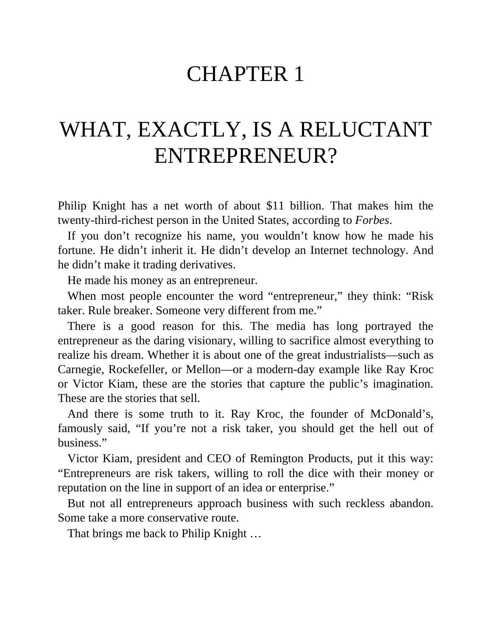#### CHAPTER 1

#### WHAT, EXACTLY, IS A RELUCTANT ENTREPRENEUR?

Philip Knight has a net worth of about \$11 billion. That makes him the twenty-third-richest person in the United States, according to *Forbes*.

If you don't recognize his name, you wouldn't know how he made his fortune. He didn't inherit it. He didn't develop an Internet technology. And he didn't make it trading derivatives.

He made his money as an entrepreneur.

When most people encounter the word "entrepreneur," they think: "Risk taker. Rule breaker. Someone very different from me."

There is a good reason for this. The media has long portrayed the entrepreneur as the daring visionary, willing to sacrifice almost everything to realize his dream. Whether it is about one of the great industrialists—such as Carnegie, Rockefeller, or Mellon—or a modern-day example like Ray Kroc or Victor Kiam, these are the stories that capture the public's imagination. These are the stories that sell.

And there is some truth to it. Ray Kroc, the founder of McDonald's, famously said, "If you're not a risk taker, you should get the hell out of business."

Victor Kiam, president and CEO of Remington Products, put it this way: "Entrepreneurs are risk takers, willing to roll the dice with their money or reputation on the line in support of an idea or enterprise."

But not all entrepreneurs approach business with such reckless abandon. Some take a more conservative route.

That brings me back to Philip Knight …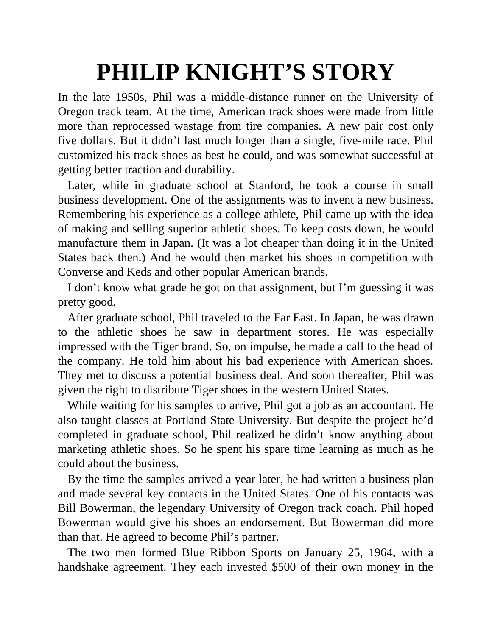# **PHILIP KNIGHT'S STORY**

In the late 1950s, Phil was a middle-distance runner on the University of Oregon track team. At the time, American track shoes were made from little more than reprocessed wastage from tire companies. A new pair cost only five dollars. But it didn't last much longer than a single, five-mile race. Phil customized his track shoes as best he could, and was somewhat successful at getting better traction and durability.

Later, while in graduate school at Stanford, he took a course in small business development. One of the assignments was to invent a new business. Remembering his experience as a college athlete, Phil came up with the idea of making and selling superior athletic shoes. To keep costs down, he would manufacture them in Japan. (It was a lot cheaper than doing it in the United States back then.) And he would then market his shoes in competition with Converse and Keds and other popular American brands.

I don't know what grade he got on that assignment, but I'm guessing it was pretty good.

After graduate school, Phil traveled to the Far East. In Japan, he was drawn to the athletic shoes he saw in department stores. He was especially impressed with the Tiger brand. So, on impulse, he made a call to the head of the company. He told him about his bad experience with American shoes. They met to discuss a potential business deal. And soon thereafter, Phil was given the right to distribute Tiger shoes in the western United States.

While waiting for his samples to arrive, Phil got a job as an accountant. He also taught classes at Portland State University. But despite the project he'd completed in graduate school, Phil realized he didn't know anything about marketing athletic shoes. So he spent his spare time learning as much as he could about the business.

By the time the samples arrived a year later, he had written a business plan and made several key contacts in the United States. One of his contacts was Bill Bowerman, the legendary University of Oregon track coach. Phil hoped Bowerman would give his shoes an endorsement. But Bowerman did more than that. He agreed to become Phil's partner.

The two men formed Blue Ribbon Sports on January 25, 1964, with a handshake agreement. They each invested \$500 of their own money in the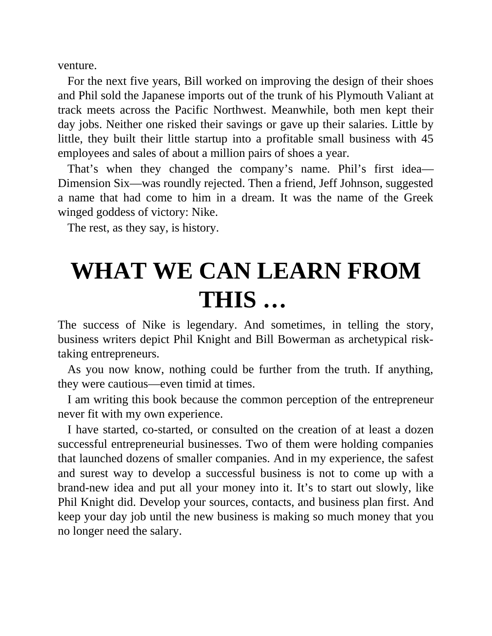venture.

For the next five years, Bill worked on improving the design of their shoes and Phil sold the Japanese imports out of the trunk of his Plymouth Valiant at track meets across the Pacific Northwest. Meanwhile, both men kept their day jobs. Neither one risked their savings or gave up their salaries. Little by little, they built their little startup into a profitable small business with 45 employees and sales of about a million pairs of shoes a year.

That's when they changed the company's name. Phil's first idea— Dimension Six—was roundly rejected. Then a friend, Jeff Johnson, suggested a name that had come to him in a dream. It was the name of the Greek winged goddess of victory: Nike.

The rest, as they say, is history.

### **WHAT WE CAN LEARN FROM THIS …**

The success of Nike is legendary. And sometimes, in telling the story, business writers depict Phil Knight and Bill Bowerman as archetypical risktaking entrepreneurs.

As you now know, nothing could be further from the truth. If anything, they were cautious—even timid at times.

I am writing this book because the common perception of the entrepreneur never fit with my own experience.

I have started, co-started, or consulted on the creation of at least a dozen successful entrepreneurial businesses. Two of them were holding companies that launched dozens of smaller companies. And in my experience, the safest and surest way to develop a successful business is not to come up with a brand-new idea and put all your money into it. It's to start out slowly, like Phil Knight did. Develop your sources, contacts, and business plan first. And keep your day job until the new business is making so much money that you no longer need the salary.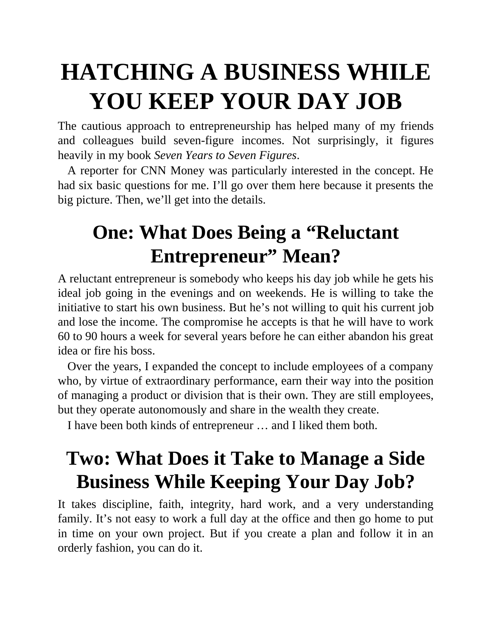# **HATCHING A BUSINESS WHILE YOU KEEP YOUR DAY JOB**

The cautious approach to entrepreneurship has helped many of my friends and colleagues build seven-figure incomes. Not surprisingly, it figures heavily in my book *Seven Years to Seven Figures*.

A reporter for CNN Money was particularly interested in the concept. He had six basic questions for me. I'll go over them here because it presents the big picture. Then, we'll get into the details.

#### **One: What Does Being a "Reluctant Entrepreneur" Mean?**

A reluctant entrepreneur is somebody who keeps his day job while he gets his ideal job going in the evenings and on weekends. He is willing to take the initiative to start his own business. But he's not willing to quit his current job and lose the income. The compromise he accepts is that he will have to work 60 to 90 hours a week for several years before he can either abandon his great idea or fire his boss.

Over the years, I expanded the concept to include employees of a company who, by virtue of extraordinary performance, earn their way into the position of managing a product or division that is their own. They are still employees, but they operate autonomously and share in the wealth they create.

I have been both kinds of entrepreneur … and I liked them both.

#### **Two: What Does it Take to Manage a Side Business While Keeping Your Day Job?**

It takes discipline, faith, integrity, hard work, and a very understanding family. It's not easy to work a full day at the office and then go home to put in time on your own project. But if you create a plan and follow it in an orderly fashion, you can do it.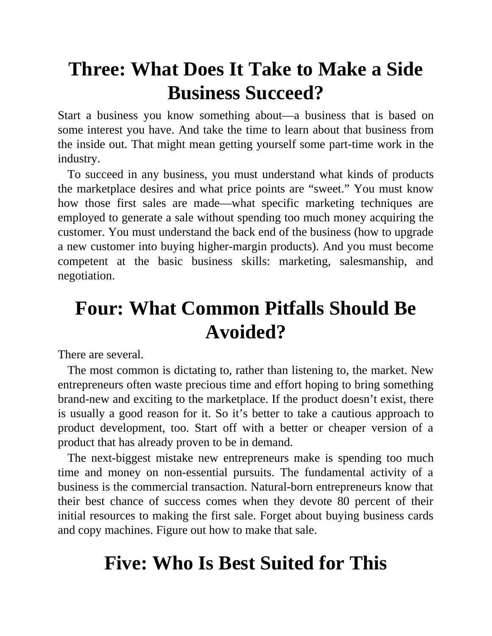#### **Three: What Does It Take to Make a Side Business Succeed?**

Start a business you know something about—a business that is based on some interest you have. And take the time to learn about that business from the inside out. That might mean getting yourself some part-time work in the industry.

To succeed in any business, you must understand what kinds of products the marketplace desires and what price points are "sweet." You must know how those first sales are made—what specific marketing techniques are employed to generate a sale without spending too much money acquiring the customer. You must understand the back end of the business (how to upgrade a new customer into buying higher-margin products). And you must become competent at the basic business skills: marketing, salesmanship, and negotiation.

#### **Four: What Common Pitfalls Should Be Avoided?**

There are several.

The most common is dictating to, rather than listening to, the market. New entrepreneurs often waste precious time and effort hoping to bring something brand-new and exciting to the marketplace. If the product doesn't exist, there is usually a good reason for it. So it's better to take a cautious approach to product development, too. Start off with a better or cheaper version of a product that has already proven to be in demand.

The next-biggest mistake new entrepreneurs make is spending too much time and money on non-essential pursuits. The fundamental activity of a business is the commercial transaction. Natural-born entrepreneurs know that their best chance of success comes when they devote 80 percent of their initial resources to making the first sale. Forget about buying business cards and copy machines. Figure out how to make that sale.

#### **Five: Who Is Best Suited for This**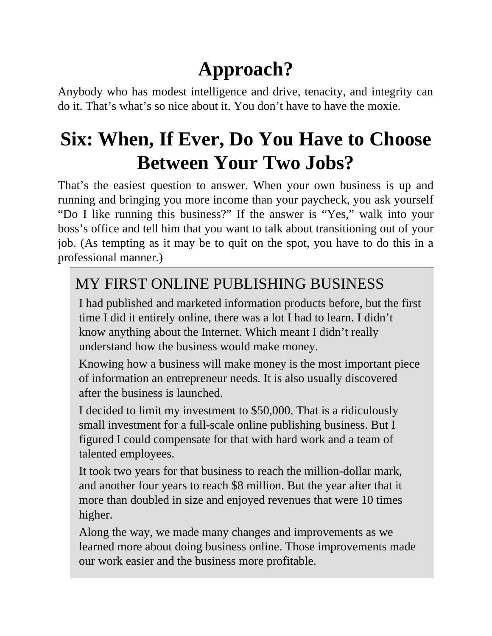### **Approach?**

Anybody who has modest intelligence and drive, tenacity, and integrity can do it. That's what's so nice about it. You don't have to have the moxie.

#### **Six: When, If Ever, Do You Have to Choose Between Your Two Jobs?**

That's the easiest question to answer. When your own business is up and running and bringing you more income than your paycheck, you ask yourself "Do I like running this business?" If the answer is "Yes," walk into your boss's office and tell him that you want to talk about transitioning out of your job. (As tempting as it may be to quit on the spot, you have to do this in a professional manner.)

#### MY FIRST ONLINE PUBLISHING BUSINESS

I had published and marketed information products before, but the first time I did it entirely online, there was a lot I had to learn. I didn't know anything about the Internet. Which meant I didn't really understand how the business would make money.

Knowing how a business will make money is the most important piece of information an entrepreneur needs. It is also usually discovered after the business is launched.

I decided to limit my investment to \$50,000. That is a ridiculously small investment for a full-scale online publishing business. But I figured I could compensate for that with hard work and a team of talented employees.

It took two years for that business to reach the million-dollar mark, and another four years to reach \$8 million. But the year after that it more than doubled in size and enjoyed revenues that were 10 times higher.

Along the way, we made many changes and improvements as we learned more about doing business online. Those improvements made our work easier and the business more profitable.